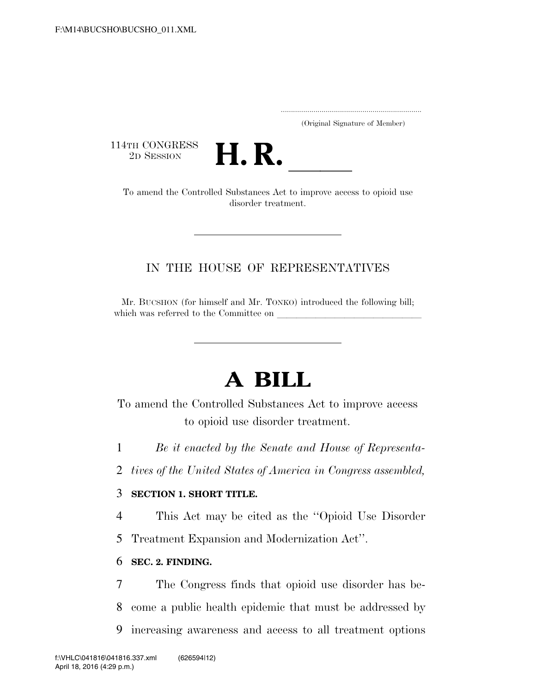..................................................................... (Original Signature of Member)

114TH CONGRESS<br>2D SESSION



TH CONGRESS<br>
2D SESSION<br>
To amend the Controlled Substances Act to improve access to opioid use disorder treatment.

### IN THE HOUSE OF REPRESENTATIVES

Mr. BUCSHON (for himself and Mr. TONKO) introduced the following bill; which was referred to the Committee on

# **A BILL**

To amend the Controlled Substances Act to improve access to opioid use disorder treatment.

1 *Be it enacted by the Senate and House of Representa-*

2 *tives of the United States of America in Congress assembled,* 

#### 3 **SECTION 1. SHORT TITLE.**

4 This Act may be cited as the ''Opioid Use Disorder

5 Treatment Expansion and Modernization Act''.

#### 6 **SEC. 2. FINDING.**

7 The Congress finds that opioid use disorder has be-8 come a public health epidemic that must be addressed by 9 increasing awareness and access to all treatment options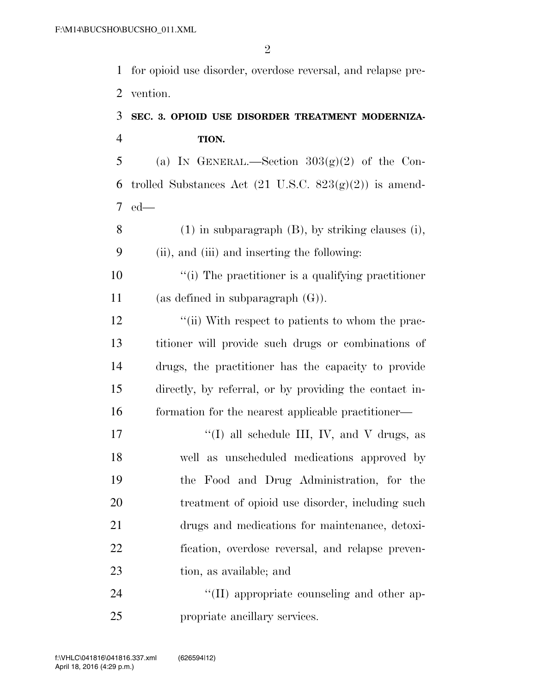for opioid use disorder, overdose reversal, and relapse pre-vention.

## **SEC. 3. OPIOID USE DISORDER TREATMENT MODERNIZA-TION.**

5 (a) IN GENERAL.—Section  $303(g)(2)$  of the Con-6 trolled Substances Act  $(21 \text{ U.S.C. } 823(g)(2))$  is amend-ed—

 (1) in subparagraph (B), by striking clauses (i), (ii), and (iii) and inserting the following:

 ''(i) The practitioner is a qualifying practitioner (as defined in subparagraph (G)).

12 ''(ii) With respect to patients to whom the prac- titioner will provide such drugs or combinations of drugs, the practitioner has the capacity to provide directly, by referral, or by providing the contact in-formation for the nearest applicable practitioner—

 $\langle (I)$  all schedule III, IV, and V drugs, as well as unscheduled medications approved by the Food and Drug Administration, for the treatment of opioid use disorder, including such drugs and medications for maintenance, detoxi- fication, overdose reversal, and relapse preven-tion, as available; and

24  $\langle (II) \rangle$  appropriate counseling and other ap-propriate ancillary services.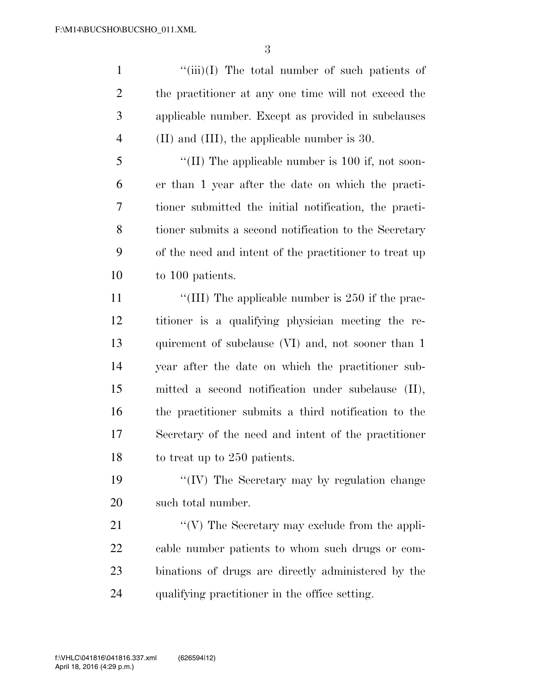$\frac{1}{\sin(1)}$  The total number of such patients of the practitioner at any one time will not exceed the applicable number. Except as provided in subclauses 4 (II) and (III), the applicable number is 30.

5 "(II) The applicable number is 100 if, not soon- er than 1 year after the date on which the practi- tioner submitted the initial notification, the practi- tioner submits a second notification to the Secretary of the need and intent of the practitioner to treat up to 100 patients.

11 ''(III) The applicable number is 250 if the prac- titioner is a qualifying physician meeting the re-13 quirement of subclause (VI) and, not sooner than 1 year after the date on which the practitioner sub- mitted a second notification under subclause (II), the practitioner submits a third notification to the Secretary of the need and intent of the practitioner to treat up to 250 patients.

19 ''(IV) The Secretary may by regulation change such total number.

21 ''(V) The Secretary may exclude from the appli- cable number patients to whom such drugs or com- binations of drugs are directly administered by the qualifying practitioner in the office setting.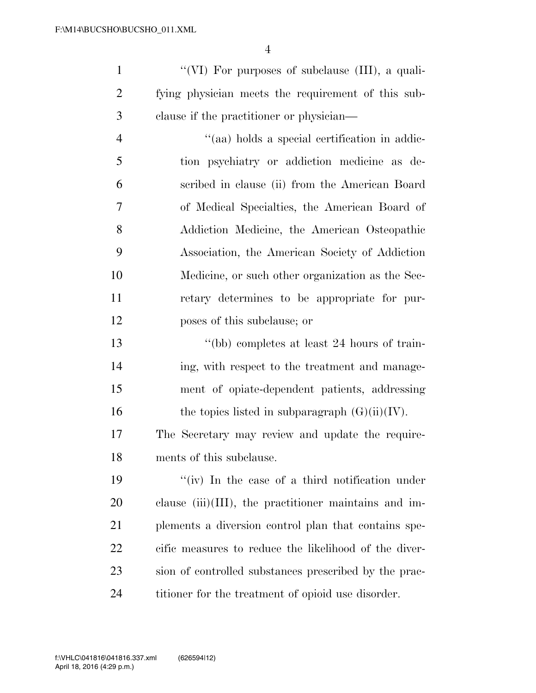''(VI) For purposes of subclause (III), a quali- fying physician meets the requirement of this sub-clause if the practitioner or physician—

 ''(aa) holds a special certification in addic- tion psychiatry or addiction medicine as de- scribed in clause (ii) from the American Board of Medical Specialties, the American Board of Addiction Medicine, the American Osteopathic Association, the American Society of Addiction Medicine, or such other organization as the Sec- retary determines to be appropriate for pur-poses of this subclause; or

 ''(bb) completes at least 24 hours of train- ing, with respect to the treatment and manage- ment of opiate-dependent patients, addressing 16 the topics listed in subparagraph  $(G)(ii)(IV)$ .

 The Secretary may review and update the require-ments of this subclause.

 ''(iv) In the case of a third notification under clause (iii)(III), the practitioner maintains and im- plements a diversion control plan that contains spe- cific measures to reduce the likelihood of the diver- sion of controlled substances prescribed by the prac-titioner for the treatment of opioid use disorder.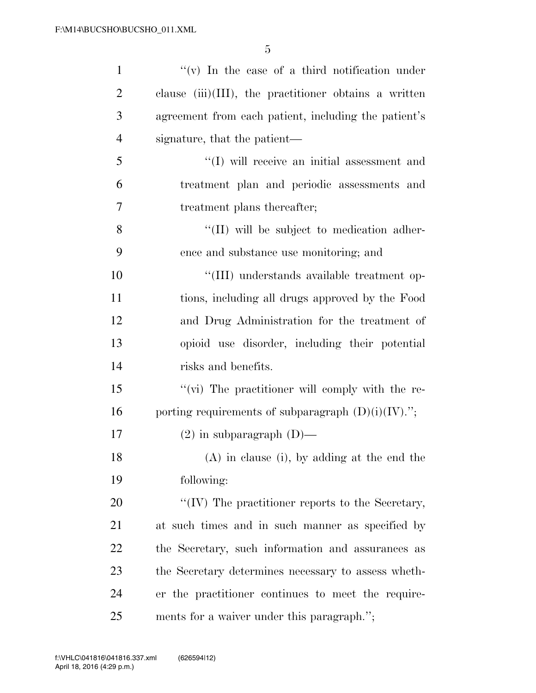| $\mathbf{1}$   | $f'(v)$ In the case of a third notification under        |
|----------------|----------------------------------------------------------|
| $\overline{2}$ | clause $(iii)(III)$ , the practitioner obtains a written |
| 3              | agreement from each patient, including the patient's     |
| $\overline{4}$ | signature, that the patient—                             |
| 5              | $``(I)$ will receive an initial assessment and           |
| 6              | treatment plan and periodic assessments and              |
| $\overline{7}$ | treatment plans thereafter;                              |
| 8              | "(II) will be subject to medication adher-               |
| 9              | ence and substance use monitoring; and                   |
| 10             | "(III) understands available treatment op-               |
| 11             | tions, including all drugs approved by the Food          |
| 12             | and Drug Administration for the treatment of             |
| 13             | opioid use disorder, including their potential           |
| 14             | risks and benefits.                                      |
| 15             | "(vi) The practitioner will comply with the re-          |
| 16             | porting requirements of subparagraph $(D)(i)(IV)$ .";    |
| 17             | $(2)$ in subparagraph $(D)$ —                            |
| 18             | (A) in clause (i), by adding at the end the              |
| 19             | following:                                               |
| 20             | "(IV) The practitioner reports to the Secretary,         |
| 21             | at such times and in such manner as specified by         |
| 22             | the Secretary, such information and assurances as        |
| 23             | the Secretary determines necessary to assess wheth-      |
| 24             | er the practitioner continues to meet the require-       |
| 25             | ments for a waiver under this paragraph.";               |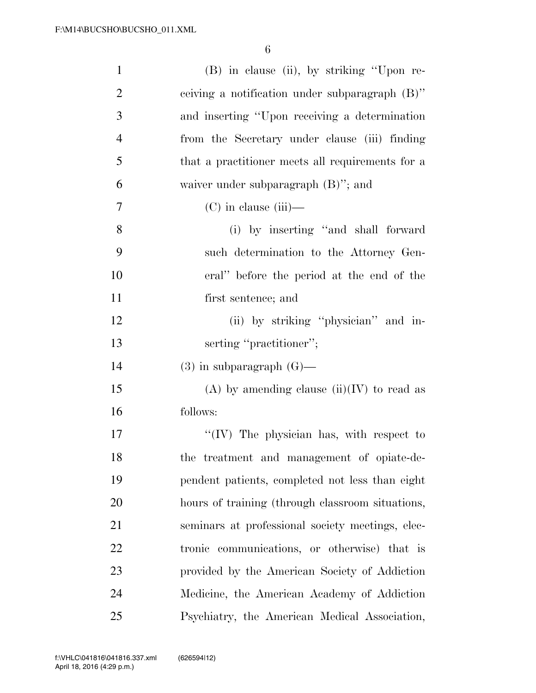| $\mathbf{1}$   | (B) in clause (ii), by striking "Upon re-        |
|----------------|--------------------------------------------------|
| $\overline{2}$ | ceiving a notification under subparagraph (B)"   |
| 3              | and inserting "Upon receiving a determination"   |
| $\overline{4}$ | from the Secretary under clause (iii) finding    |
| 5              | that a practitioner meets all requirements for a |
| 6              | waiver under subparagraph $(B)$ "; and           |
| 7              | $(C)$ in clause (iii)—                           |
| 8              | (i) by inserting "and shall forward              |
| 9              | such determination to the Attorney Gen-          |
| 10             | eral" before the period at the end of the        |
| 11             | first sentence; and                              |
| 12             | (ii) by striking "physician" and in-             |
| 13             | serting "practitioner";                          |
| 14             | $(3)$ in subparagraph $(G)$ —                    |
| 15             | (A) by amending clause $(ii)(IV)$ to read as     |
| 16             | follows:                                         |
| 17             | "(IV) The physician has, with respect to         |
| 18             | the treatment and management of opiate-de-       |
| 19             | pendent patients, completed not less than eight  |
| 20             | hours of training (through classroom situations, |
| 21             | seminars at professional society meetings, elec- |
| 22             | tronic communications, or otherwise) that is     |
| 23             | provided by the American Society of Addiction    |
| 24             | Medicine, the American Academy of Addiction      |
| 25             | Psychiatry, the American Medical Association,    |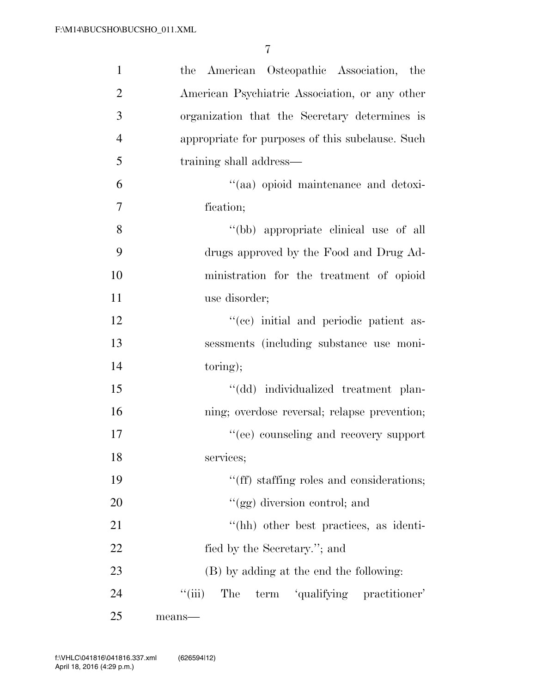| $\mathbf{1}$   | the American Osteopathic Association, the           |
|----------------|-----------------------------------------------------|
| $\overline{2}$ | American Psychiatric Association, or any other      |
| 3              | organization that the Secretary determines is       |
| $\overline{4}$ | appropriate for purposes of this subclause. Such    |
| 5              | training shall address—                             |
| 6              | "(aa) opioid maintenance and detoxi-                |
| 7              | fication;                                           |
| 8              | "(bb) appropriate clinical use of all               |
| 9              | drugs approved by the Food and Drug Ad-             |
| 10             | ministration for the treatment of opioid            |
| 11             | use disorder;                                       |
| 12             | "(ce) initial and periodic patient as-              |
| 13             | sessments (including substance use moni-            |
| 14             | toring);                                            |
| 15             | "(dd) individualized treatment plan-                |
| 16             | ning; overdose reversal; relapse prevention;        |
| 17             | "(ee) counseling and recovery support               |
| 18             | services;                                           |
| 19             | "(ff) staffing roles and considerations;            |
| 20             | "(gg) diversion control; and                        |
| 21             | "(hh) other best practices, as identi-              |
| 22             | fied by the Secretary."; and                        |
| 23             | (B) by adding at the end the following:             |
| 24             | $``$ (iii)<br>term 'qualifying practitioner'<br>The |
| 25             | means-                                              |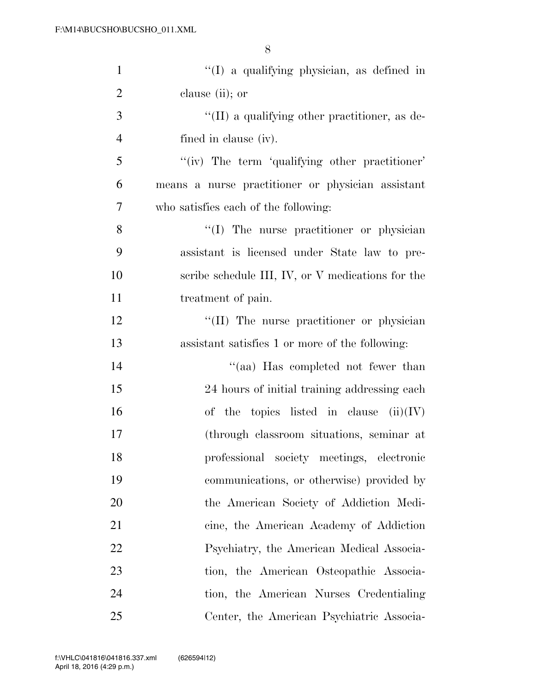| $\mathbf{1}$   | "(I) a qualifying physician, as defined in            |
|----------------|-------------------------------------------------------|
| $\overline{2}$ | clause (ii); or                                       |
| 3              | $\lq\lq$ (II) a qualifying other practitioner, as de- |
| $\overline{4}$ | fined in clause (iv).                                 |
| 5              | "(iv) The term 'qualifying other practitioner'        |
| 6              | means a nurse practitioner or physician assistant     |
| $\overline{7}$ | who satisfies each of the following:                  |
| 8              | "(I) The nurse practitioner or physician              |
| 9              | assistant is licensed under State law to pre-         |
| 10             | scribe schedule III, IV, or V medications for the     |
| 11             | treatment of pain.                                    |
| 12             | "(II) The nurse practitioner or physician             |
| 13             | assistant satisfies 1 or more of the following:       |
| 14             | "(aa) Has completed not fewer than                    |
| 15             | 24 hours of initial training addressing each          |
| 16             | of the topics listed in clause $(ii)(IV)$             |
| 17             | (through classroom situations, seminar at             |
| 18             | professional society meetings, electronic             |
| 19             | communications, or otherwise) provided by             |
| 20             | the American Society of Addiction Medi-               |
| 21             | cine, the American Academy of Addiction               |
| 22             | Psychiatry, the American Medical Associa-             |
| 23             | tion, the American Osteopathic Associa-               |
| 24             | tion, the American Nurses Credentialing               |
| 25             | Center, the American Psychiatric Associa-             |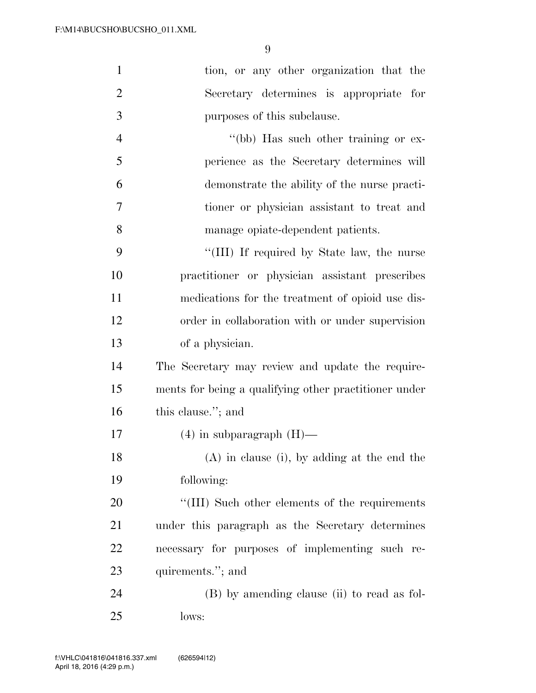| $\mathbf{1}$   | tion, or any other organization that the              |
|----------------|-------------------------------------------------------|
| $\overline{2}$ | Secretary determines is appropriate for               |
| 3              | purposes of this subclause.                           |
| $\overline{4}$ | "(bb) Has such other training or ex-                  |
| 5              | perience as the Secretary determines will             |
| 6              | demonstrate the ability of the nurse practi-          |
| 7              | tioner or physician assistant to treat and            |
| 8              | manage opiate-dependent patients.                     |
| 9              | "(III) If required by State law, the nurse            |
| 10             | practitioner or physician assistant prescribes        |
| 11             | medications for the treatment of opioid use dis-      |
| 12             | order in collaboration with or under supervision      |
| 13             | of a physician.                                       |
| 14             | The Secretary may review and update the require-      |
| 15             | ments for being a qualifying other practitioner under |
| 16             | this clause."; and                                    |
| 17             | $(4)$ in subparagraph $(H)$ —                         |
| 18             | (A) in clause (i), by adding at the end the           |
| 19             | following:                                            |
| 20             | "(III) Such other elements of the requirements        |
| 21             | under this paragraph as the Secretary determines      |
| 22             | necessary for purposes of implementing such re-       |
| 23             | quirements."; and                                     |
| 24             | (B) by amending clause (ii) to read as fol-           |
| 25             | lows:                                                 |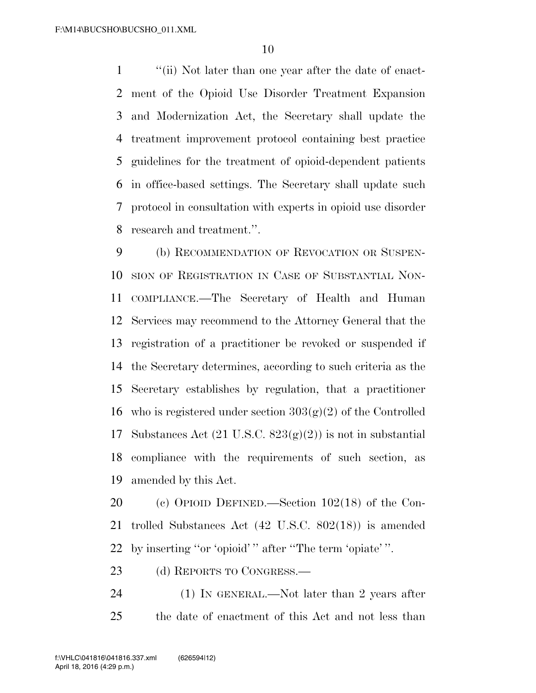''(ii) Not later than one year after the date of enact- ment of the Opioid Use Disorder Treatment Expansion and Modernization Act, the Secretary shall update the treatment improvement protocol containing best practice guidelines for the treatment of opioid-dependent patients in office-based settings. The Secretary shall update such protocol in consultation with experts in opioid use disorder research and treatment.''.

 (b) RECOMMENDATION OF REVOCATION OR SUSPEN- SION OF REGISTRATION IN CASE OF SUBSTANTIAL NON- COMPLIANCE.—The Secretary of Health and Human Services may recommend to the Attorney General that the registration of a practitioner be revoked or suspended if the Secretary determines, according to such criteria as the Secretary establishes by regulation, that a practitioner 16 who is registered under section  $303(g)(2)$  of the Controlled 17 Substances Act  $(21 \text{ U.S.C. } 823(g)(2))$  is not in substantial compliance with the requirements of such section, as amended by this Act.

 (c) OPIOID DEFINED.—Section 102(18) of the Con- trolled Substances Act (42 U.S.C. 802(18)) is amended by inserting ''or 'opioid' '' after ''The term 'opiate' ''.

23 (d) REPORTS TO CONGRESS.—

24 (1) IN GENERAL.—Not later than 2 years after the date of enactment of this Act and not less than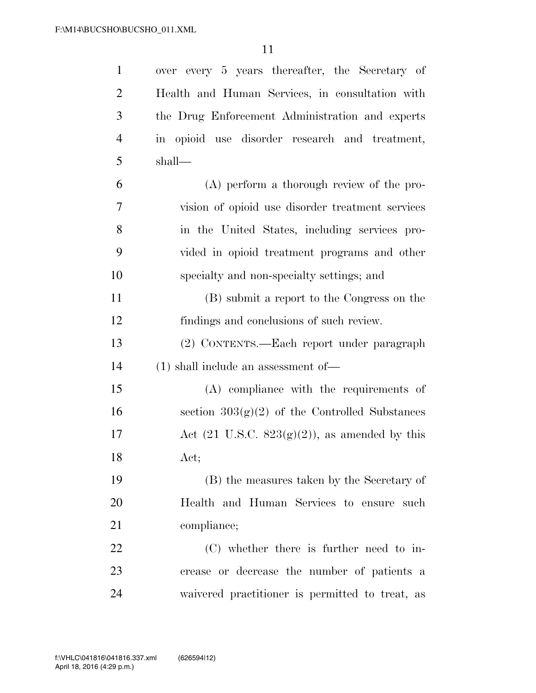| $\mathbf{1}$   | over every 5 years thereafter, the Secretary of           |
|----------------|-----------------------------------------------------------|
| $\overline{2}$ | Health and Human Services, in consultation with           |
| 3              | the Drug Enforcement Administration and experts           |
| $\overline{4}$ | in opioid use disorder research and treatment,            |
| 5              | shall—                                                    |
| 6              | (A) perform a thorough review of the pro-                 |
| 7              | vision of opioid use disorder treatment services          |
| 8              | in the United States, including services pro-             |
| 9              | vided in opioid treatment programs and other              |
| 10             | specialty and non-specialty settings; and                 |
| 11             | (B) submit a report to the Congress on the                |
| 12             | findings and conclusions of such review.                  |
| 13             | (2) CONTENTS.—Each report under paragraph                 |
| 14             | $(1)$ shall include an assessment of —                    |
| 15             | (A) compliance with the requirements of                   |
| 16             | section $303(g)(2)$ of the Controlled Substances          |
| 17             | Act $(21 \text{ U.S.C. } 823(g)(2))$ , as amended by this |
| 18             | Act;                                                      |
| 19             | (B) the measures taken by the Secretary of                |
| 20             | Health and Human Services to ensure such                  |
| 21             | compliance;                                               |
| 22             | (C) whether there is further need to in-                  |
| 23             | crease or decrease the number of patients a               |
| 24             | waivered practitioner is permitted to treat, as           |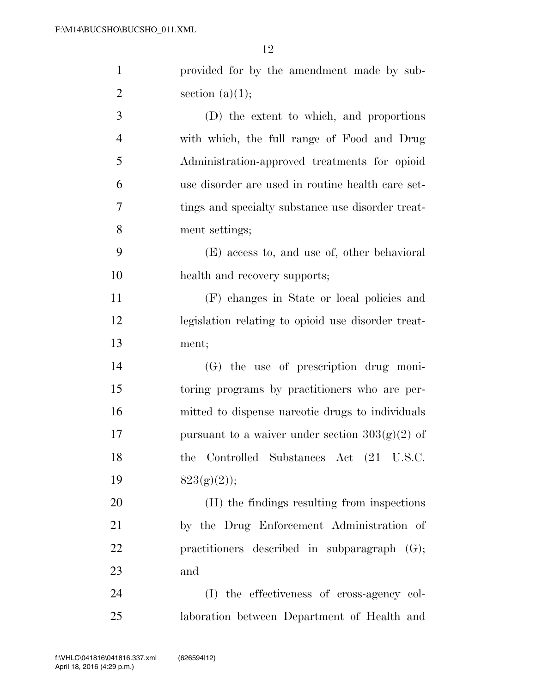| $\mathbf{1}$   | provided for by the amendment made by sub-         |
|----------------|----------------------------------------------------|
| $\overline{2}$ | section $(a)(1);$                                  |
| 3              | (D) the extent to which, and proportions           |
| $\overline{4}$ | with which, the full range of Food and Drug        |
| 5              | Administration-approved treatments for opioid      |
| 6              | use disorder are used in routine health care set-  |
| 7              | tings and specialty substance use disorder treat-  |
| 8              | ment settings;                                     |
| 9              | (E) access to, and use of, other behavioral        |
| 10             | health and recovery supports;                      |
| 11             | (F) changes in State or local policies and         |
| 12             | legislation relating to opioid use disorder treat- |
| 13             | ment;                                              |
| 14             | $(G)$ the use of prescription drug moni-           |
| 15             | toring programs by practitioners who are per-      |
| 16             | mitted to dispense narcotic drugs to individuals   |
| 17             | pursuant to a waiver under section $303(g)(2)$ of  |
| 18             | the Controlled Substances Act (21 U.S.C.           |
| 19             | $823(g)(2)$ ;                                      |
| 20             | (H) the findings resulting from inspections        |
| 21             | by the Drug Enforcement Administration of          |
| 22             | practitioners described in subparagraph $(G)$ ;    |
| 23             | and                                                |
| 24             | (I) the effectiveness of cross-agency col-         |
| 25             | laboration between Department of Health and        |